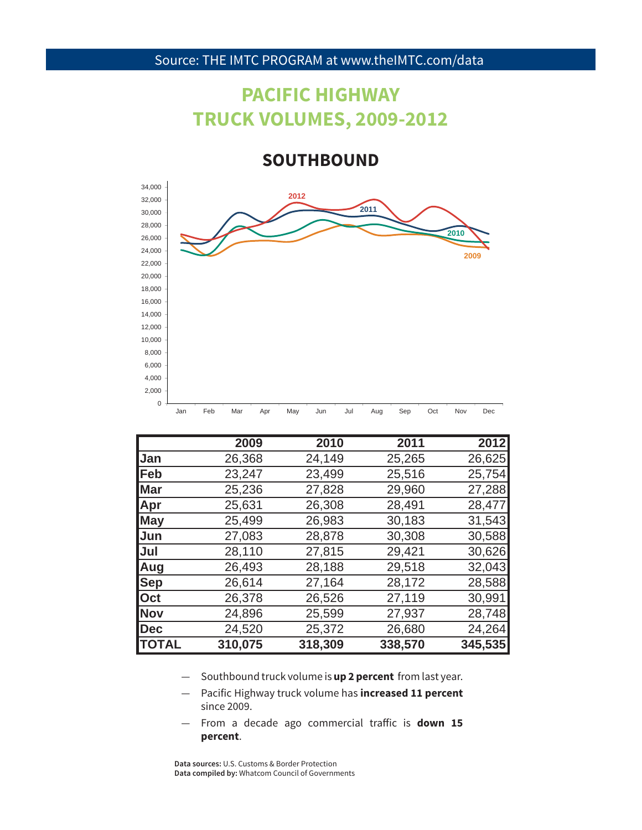### **PACIFIC HIGHWAY TRUCK VOLUMES, 2009-2012**

**SOUTHBOUND**



|              | 2009    | 2010    | 2011    | 2012    |
|--------------|---------|---------|---------|---------|
| Jan          | 26,368  | 24,149  | 25,265  | 26,625  |
| <b> Feb</b>  | 23,247  | 23,499  | 25,516  | 25,754  |
| <b>Mar</b>   | 25,236  | 27,828  | 29,960  | 27,288  |
| Apr          | 25,631  | 26,308  | 28,491  | 28,477  |
| <b>May</b>   | 25,499  | 26,983  | 30,183  | 31,543  |
| Jun          | 27,083  | 28,878  | 30,308  | 30,588  |
| Jul          | 28,110  | 27,815  | 29,421  | 30,626  |
| Aug          | 26,493  | 28,188  | 29,518  | 32,043  |
| <b>Sep</b>   | 26,614  | 27,164  | 28,172  | 28,588  |
| Oct          | 26,378  | 26,526  | 27,119  | 30,991  |
| Nov          | 24,896  | 25,599  | 27,937  | 28,748  |
| Dec          | 24,520  | 25,372  | 26,680  | 24,264  |
| <b>TOTAL</b> | 310,075 | 318,309 | 338,570 | 345,535 |

- Southbound truck volume is **up 2 percent** from last year.
- since 2009. — Pacific Highway truck volume has **increased 11 percent**
- $-$  From a decade ago commercial traffic is **down 15 percent**.

**Data sources:** U.S. Customs & Border Protection **Data compiled by:** Whatcom Council of Governments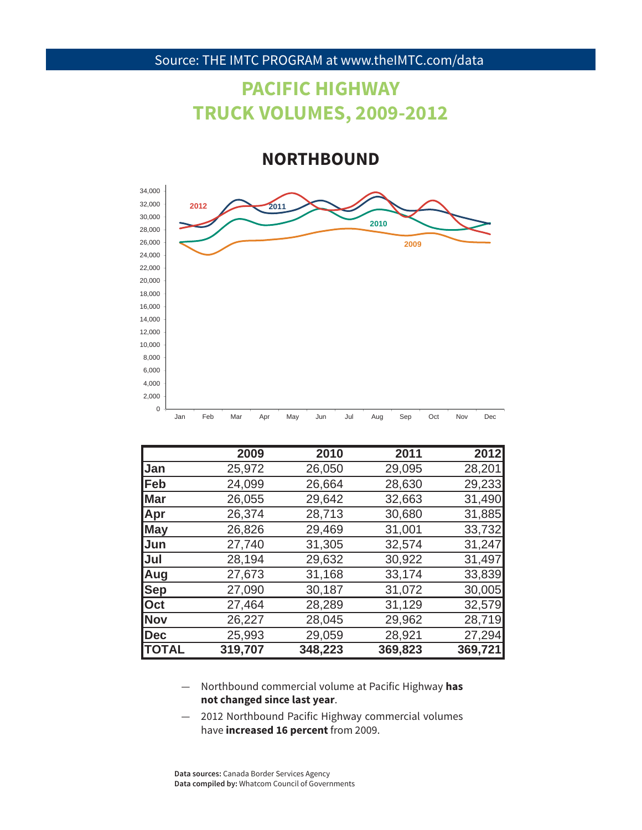## **PACIFIC HIGHWAY TRUCK VOLUMES, 2009-2012**

**NORTHBOUND**



|              | 2009    | 2010    | 2011    | 2012    |
|--------------|---------|---------|---------|---------|
| <b>Jan</b>   | 25,972  | 26,050  | 29,095  | 28,201  |
| <b> Feb</b>  | 24,099  | 26,664  | 28,630  | 29,233  |
| <b>Mar</b>   | 26,055  | 29,642  | 32,663  | 31,490  |
| <b>Apr</b>   | 26,374  | 28,713  | 30,680  | 31,885  |
| <b>May</b>   | 26,826  | 29,469  | 31,001  | 33,732  |
| <b>Jun</b>   | 27,740  | 31,305  | 32,574  | 31,247  |
| <b>Jul</b>   | 28,194  | 29,632  | 30,922  | 31,497  |
| <b>Aug</b>   | 27,673  | 31,168  | 33,174  | 33,839  |
| <b>Sep</b>   | 27,090  | 30,187  | 31,072  | 30,005  |
| <b>Oct</b>   | 27,464  | 28,289  | 31,129  | 32,579  |
| <b>Nov</b>   | 26,227  | 28,045  | 29,962  | 28,719  |
| Dec          | 25,993  | 29,059  | 28,921  | 27,294  |
| <b>TOTAL</b> | 319,707 | 348,223 | 369,823 | 369,721 |

- 42 **not changed since last year**. — Northbound commercial volume at Pacific Highway **has**
- 2012 Northbound Pacific Highway commercial volumes have **increased 16 percent** from 2009.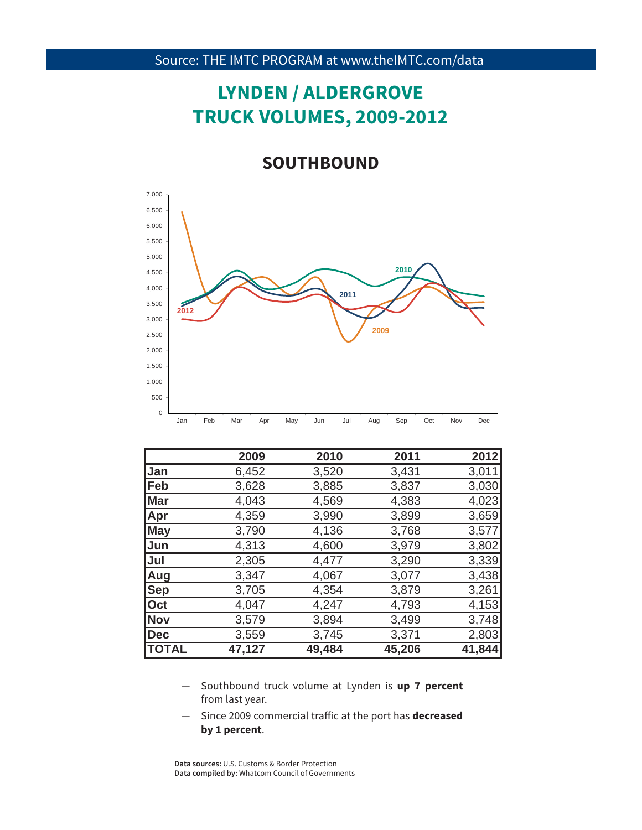# **LYNDEN / ALDERGROVE TRUCK VOLUMES, 2009-2012**

#### **SOUTHBOUND**



|              | 2009   | 2010   | 2011   | 2012   |
|--------------|--------|--------|--------|--------|
| Jan          | 6,452  | 3,520  | 3,431  | 3,011  |
| $\sf Feb$    | 3,628  | 3,885  | 3,837  | 3,030  |
| <b>Mar</b>   | 4,043  | 4,569  | 4,383  | 4,023  |
| <b>Apr</b>   | 4,359  | 3,990  | 3,899  | 3,659  |
| <b>May</b>   | 3,790  | 4,136  | 3,768  | 3,577  |
| <b>Jun</b>   | 4,313  | 4,600  | 3,979  | 3,802  |
| Jul          | 2,305  | 4,477  | 3,290  | 3,339  |
| Aug          | 3,347  | 4,067  | 3,077  | 3,438  |
| <b>Sep</b>   | 3,705  | 4,354  | 3,879  | 3,261  |
| Oct          | 4,047  | 4,247  | 4,793  | 4,153  |
| <b>Nov</b>   | 3,579  | 3,894  | 3,499  | 3,748  |
| Dec          | 3,559  | 3,745  | 3,371  | 2,803  |
| <b>TOTAL</b> | 47,127 | 49,484 | 45,206 | 41,844 |

- from last year. — Southbound truck volume at Lynden is **up 7 percent**
- $-$  Since 2009 commercial traffic at the port has **decreased by 1 percent**.

**Data sources:** U.S. Customs & Border Protection **Data compiled by:** Whatcom Council of Governments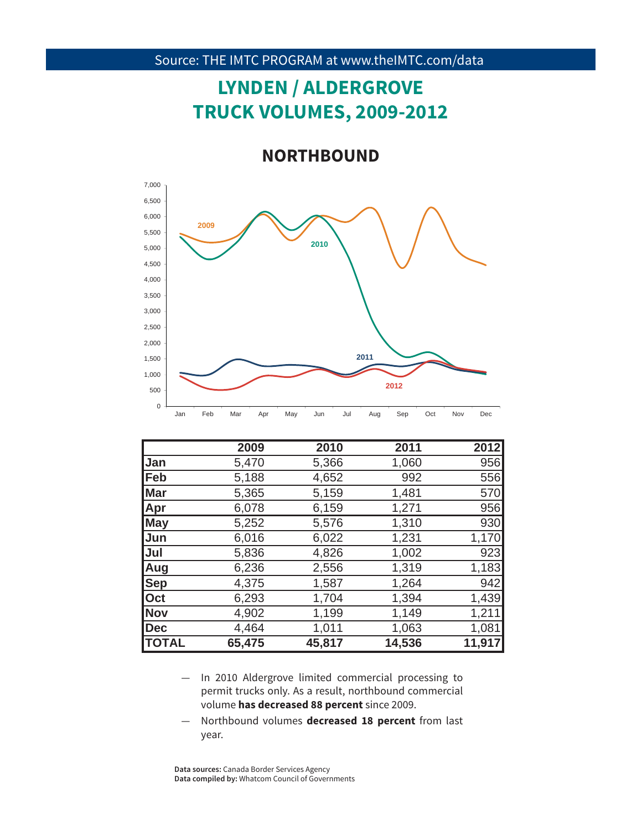# **LYNDEN / ALDERGROVE TRUCK VOLUMES, 2009-2012**

**NORTHBOUND**



|                | 2009   | 2010   | 2011   | 2012   |
|----------------|--------|--------|--------|--------|
| <b>Jan</b>     | 5,470  | 5,366  | 1,060  | 956    |
| <b> Feb</b>    | 5,188  | 4,652  | 992    | 556    |
| Mar            | 5,365  | 5,159  | 1,481  | 570    |
| Apr            | 6,078  | 6,159  | 1,271  | 956    |
| <b>May</b>     | 5,252  | 5,576  | 1,310  | 930    |
| <b>Jun</b>     | 6,016  | 6,022  | 1,231  | 1,170  |
| Jul            | 5,836  | 4,826  | 1,002  | 923    |
| Aug            | 6,236  | 2,556  | 1,319  | 1,183  |
| <b>Sep</b>     | 4,375  | 1,587  | 1,264  | 942    |
| $\mathsf{Oct}$ | 6,293  | 1,704  | 1,394  | 1,439  |
| Nov            | 4,902  | 1,199  | 1,149  | 1,211  |
| <b>Dec</b>     | 4,464  | 1,011  | 1,063  | 1,081  |
| <b> TOTAL</b>  | 65,475 | 45,817 | 14,536 | 11,917 |

- 44 volume **has decreased 88 percent** since 2009. — In 2010 Aldergrove limited commercial processing to permit trucks only. As a result, northbound commercial
- Northbound volumes **decreased 18 percent** from last year.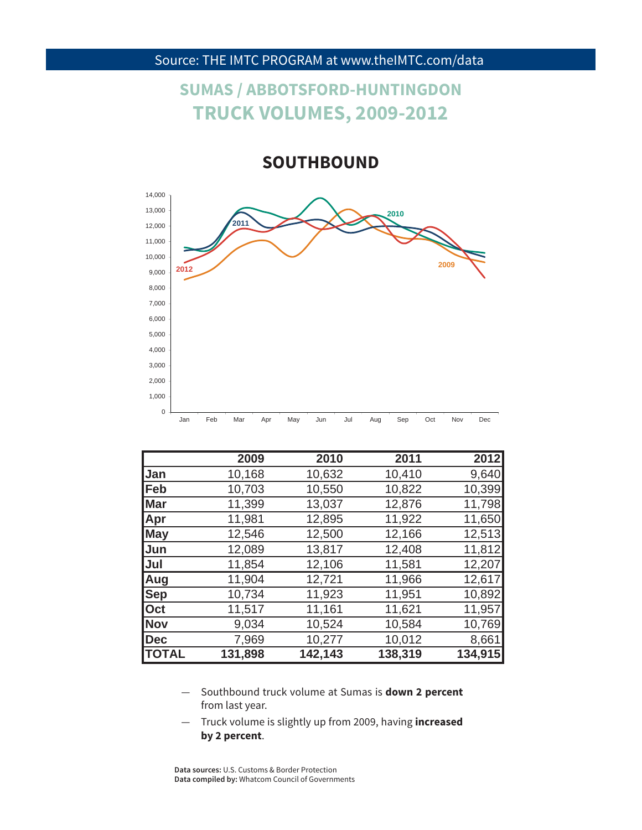## **SUMAS / ABBOTSFORD-HUNTINGDON TRUCK VOLUMES, 2009-2012**

**SOUTHBOUND**



|              | 2009    | 2010    | 2011    | 2012    |
|--------------|---------|---------|---------|---------|
| Jan          | 10,168  | 10,632  | 10,410  | 9,640   |
| <b> Feb</b>  | 10,703  | 10,550  | 10,822  | 10,399  |
| <b>Mar</b>   | 11,399  | 13,037  | 12,876  | 11,798  |
| <b>Apr</b>   | 11,981  | 12,895  | 11,922  | 11,650  |
| <b>May</b>   | 12,546  | 12,500  | 12,166  | 12,513  |
| Jun          | 12,089  | 13,817  | 12,408  | 11,812  |
| Jul          | 11,854  | 12,106  | 11,581  | 12,207  |
| Aug          | 11,904  | 12,721  | 11,966  | 12,617  |
| <b>Sep</b>   | 10,734  | 11,923  | 11,951  | 10,892  |
| <b>Oct</b>   | 11,517  | 11,161  | 11,621  | 11,957  |
| <b>Nov</b>   | 9,034   | 10,524  | 10,584  | 10,769  |
| Dec          | 7,969   | 10,277  | 10,012  | 8,661   |
| <b>TOTAL</b> | 131,898 | 142,143 | 138,319 | 134,915 |

from last year. — Southbound truck volume at Sumas is **down 2 percent** 

— Truck volume is slightly up from 2009, having **increased by 2 percent**.